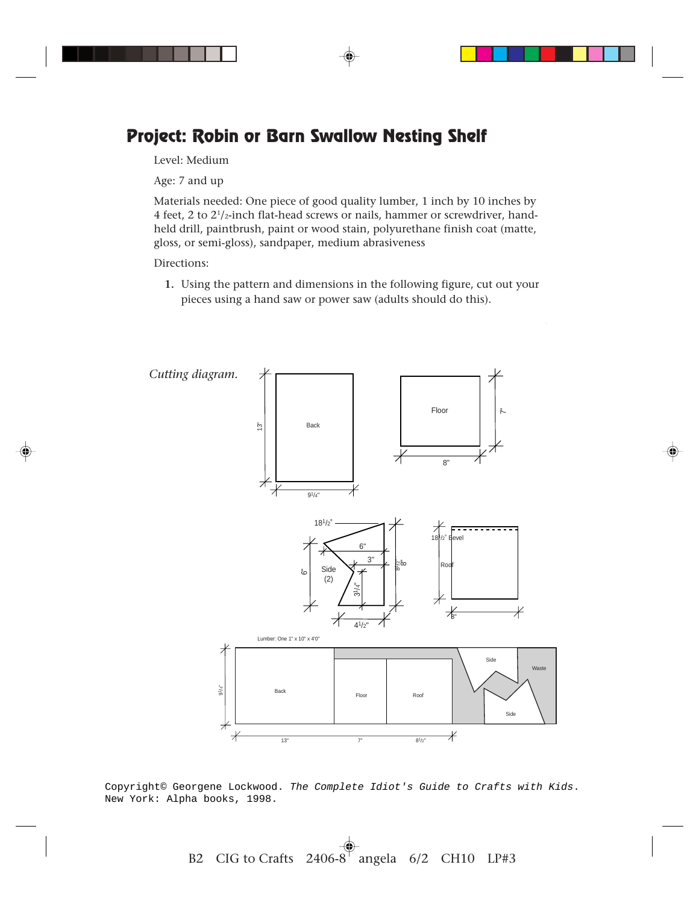## **Project: Robin or Barn Swallow Nesting Shelf**

Level: Medium

Age: 7 and up

Materials needed: One piece of good quality lumber, 1 inch by 10 inches by 4 feet, 2 to  $2^{1}/_{2}$ -inch flat-head screws or nails, hammer or screwdriver, handheld drill, paintbrush, paint or wood stain, polyurethane finish coat (matte, gloss, or semi-gloss), sandpaper, medium abrasiveness

Directions:

**1.** Using the pattern and dimensions in the following figure, cut out your pieces using a hand saw or power saw (adults should do this).



Copyright© Georgene Lockwood. The Complete Idiot's Guide to Crafts with Kids. New York: Alpha books, 1998.